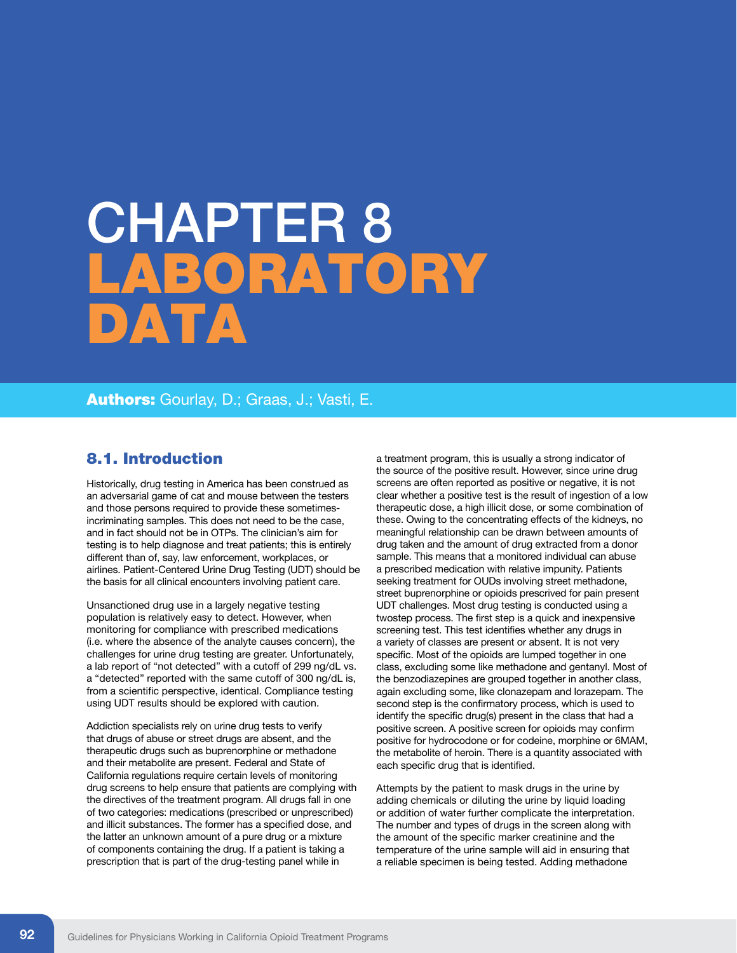# CHAPTER 8 **ABORATORY** Data

Authors: Gourlay, D.; Graas, J.; Vasti, E.

### 8.1. Introduction

Historically, drug testing in America has been construed as an adversarial game of cat and mouse between the testers and those persons required to provide these sometimesincriminating samples. This does not need to be the case, and in fact should not be in OTPs. The clinician's aim for testing is to help diagnose and treat patients; this is entirely different than of, say, law enforcement, workplaces, or airlines. Patient-Centered Urine Drug Testing (UDT) should be the basis for all clinical encounters involving patient care.

Unsanctioned drug use in a largely negative testing population is relatively easy to detect. However, when monitoring for compliance with prescribed medications (i.e. where the absence of the analyte causes concern), the challenges for urine drug testing are greater. Unfortunately, a lab report of "not detected" with a cutoff of 299 ng/dL vs. a "detected" reported with the same cutoff of 300 ng/dL is, from a scientific perspective, identical. Compliance testing using UDT results should be explored with caution.

Addiction specialists rely on urine drug tests to verify that drugs of abuse or street drugs are absent, and the therapeutic drugs such as buprenorphine or methadone and their metabolite are present. Federal and State of California regulations require certain levels of monitoring drug screens to help ensure that patients are complying with the directives of the treatment program. All drugs fall in one of two categories: medications (prescribed or unprescribed) and illicit substances. The former has a specified dose, and the latter an unknown amount of a pure drug or a mixture of components containing the drug. If a patient is taking a prescription that is part of the drug-testing panel while in

a treatment program, this is usually a strong indicator of the source of the positive result. However, since urine drug screens are often reported as positive or negative, it is not clear whether a positive test is the result of ingestion of a low therapeutic dose, a high illicit dose, or some combination of these. Owing to the concentrating effects of the kidneys, no meaningful relationship can be drawn between amounts of drug taken and the amount of drug extracted from a donor sample. This means that a monitored individual can abuse a prescribed medication with relative impunity. Patients seeking treatment for OUDs involving street methadone, street buprenorphine or opioids prescrived for pain present UDT challenges. Most drug testing is conducted using a twostep process. The first step is a quick and inexpensive screening test. This test identifies whether any drugs in a variety of classes are present or absent. It is not very specific. Most of the opioids are lumped together in one class, excluding some like methadone and gentanyl. Most of the benzodiazepines are grouped together in another class, again excluding some, like clonazepam and lorazepam. The second step is the confirmatory process, which is used to identify the specific drug(s) present in the class that had a positive screen. A positive screen for opioids may confirm positive for hydrocodone or for codeine, morphine or 6MAM, the metabolite of heroin. There is a quantity associated with each specific drug that is identified.

Attempts by the patient to mask drugs in the urine by adding chemicals or diluting the urine by liquid loading or addition of water further complicate the interpretation. The number and types of drugs in the screen along with the amount of the specific marker creatinine and the temperature of the urine sample will aid in ensuring that a reliable specimen is being tested. Adding methadone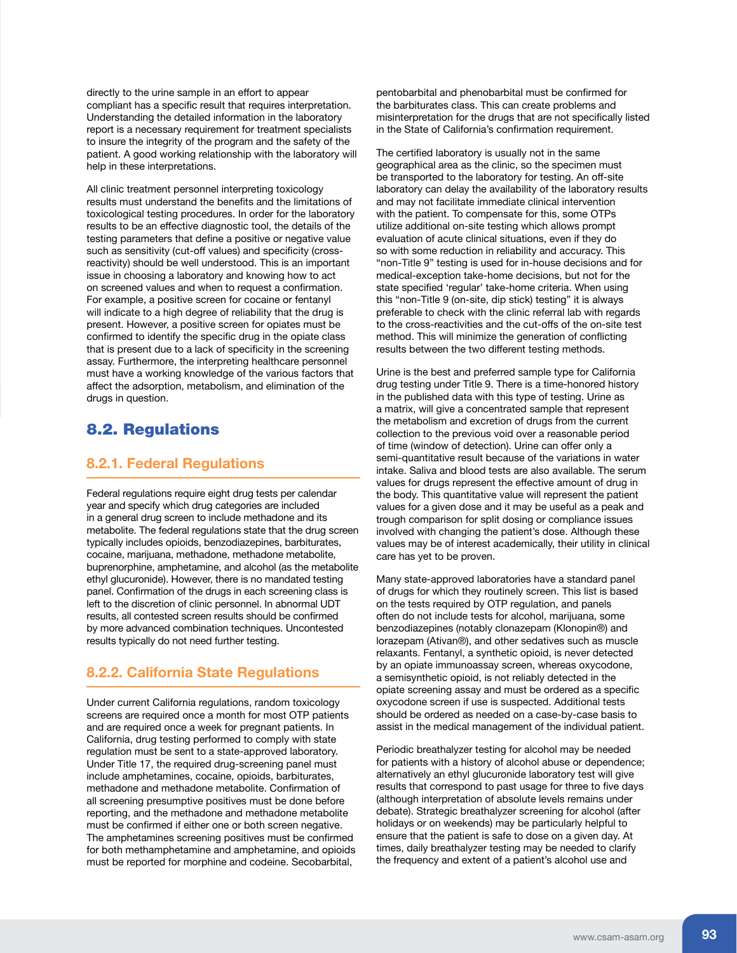directly to the urine sample in an effort to appear compliant has a specific result that requires interpretation. Understanding the detailed information in the laboratory report is a necessary requirement for treatment specialists to insure the integrity of the program and the safety of the patient. A good working relationship with the laboratory will help in these interpretations.

All clinic treatment personnel interpreting toxicology results must understand the benefits and the limitations of toxicological testing procedures. In order for the laboratory results to be an effective diagnostic tool, the details of the testing parameters that define a positive or negative value such as sensitivity (cut-off values) and specificity (crossreactivity) should be well understood. This is an important issue in choosing a laboratory and knowing how to act on screened values and when to request a confirmation. For example, a positive screen for cocaine or fentanyl will indicate to a high degree of reliability that the drug is present. However, a positive screen for opiates must be confirmed to identify the specific drug in the opiate class that is present due to a lack of specificity in the screening assay. Furthermore, the interpreting healthcare personnel must have a working knowledge of the various factors that affect the adsorption, metabolism, and elimination of the drugs in question.

### 8.2. Regulations

### **8.2.1. Federal Regulations**

Federal regulations require eight drug tests per calendar year and specify which drug categories are included in a general drug screen to include methadone and its metabolite. The federal regulations state that the drug screen typically includes opioids, benzodiazepines, barbiturates, cocaine, marijuana, methadone, methadone metabolite, buprenorphine, amphetamine, and alcohol (as the metabolite ethyl glucuronide). However, there is no mandated testing panel. Confirmation of the drugs in each screening class is left to the discretion of clinic personnel. In abnormal UDT results, all contested screen results should be confirmed by more advanced combination techniques. Uncontested results typically do not need further testing.

### **8.2.2. California State Regulations**

Under current California regulations, random toxicology screens are required once a month for most OTP patients and are required once a week for pregnant patients. In California, drug testing performed to comply with state regulation must be sent to a state-approved laboratory. Under Title 17, the required drug-screening panel must include amphetamines, cocaine, opioids, barbiturates, methadone and methadone metabolite. Confirmation of all screening presumptive positives must be done before reporting, and the methadone and methadone metabolite must be confirmed if either one or both screen negative. The amphetamines screening positives must be confirmed for both methamphetamine and amphetamine, and opioids must be reported for morphine and codeine. Secobarbital,

pentobarbital and phenobarbital must be confirmed for the barbiturates class. This can create problems and misinterpretation for the drugs that are not specifically listed in the State of California's confirmation requirement.

The certified laboratory is usually not in the same geographical area as the clinic, so the specimen must be transported to the laboratory for testing. An off-site laboratory can delay the availability of the laboratory results and may not facilitate immediate clinical intervention with the patient. To compensate for this, some OTPs utilize additional on-site testing which allows prompt evaluation of acute clinical situations, even if they do so with some reduction in reliability and accuracy. This "non-Title 9" testing is used for in-house decisions and for medical-exception take-home decisions, but not for the state specified 'regular' take-home criteria. When using this "non-Title 9 (on-site, dip stick) testing" it is always preferable to check with the clinic referral lab with regards to the cross-reactivities and the cut-offs of the on-site test method. This will minimize the generation of conflicting results between the two different testing methods.

Urine is the best and preferred sample type for California drug testing under Title 9. There is a time-honored history in the published data with this type of testing. Urine as a matrix, will give a concentrated sample that represent the metabolism and excretion of drugs from the current collection to the previous void over a reasonable period of time (window of detection). Urine can offer only a semi-quantitative result because of the variations in water intake. Saliva and blood tests are also available. The serum values for drugs represent the effective amount of drug in the body. This quantitative value will represent the patient values for a given dose and it may be useful as a peak and trough comparison for split dosing or compliance issues involved with changing the patient's dose. Although these values may be of interest academically, their utility in clinical care has yet to be proven.

Many state-approved laboratories have a standard panel of drugs for which they routinely screen. This list is based on the tests required by OTP regulation, and panels often do not include tests for alcohol, marijuana, some benzodiazepines (notably clonazepam (Klonopin®) and lorazepam (Ativan®), and other sedatives such as muscle relaxants. Fentanyl, a synthetic opioid, is never detected by an opiate immunoassay screen, whereas oxycodone, a semisynthetic opioid, is not reliably detected in the opiate screening assay and must be ordered as a specific oxycodone screen if use is suspected. Additional tests should be ordered as needed on a case-by-case basis to assist in the medical management of the individual patient.

Periodic breathalyzer testing for alcohol may be needed for patients with a history of alcohol abuse or dependence; alternatively an ethyl glucuronide laboratory test will give results that correspond to past usage for three to five days (although interpretation of absolute levels remains under debate). Strategic breathalyzer screening for alcohol (after holidays or on weekends) may be particularly helpful to ensure that the patient is safe to dose on a given day. At times, daily breathalyzer testing may be needed to clarify the frequency and extent of a patient's alcohol use and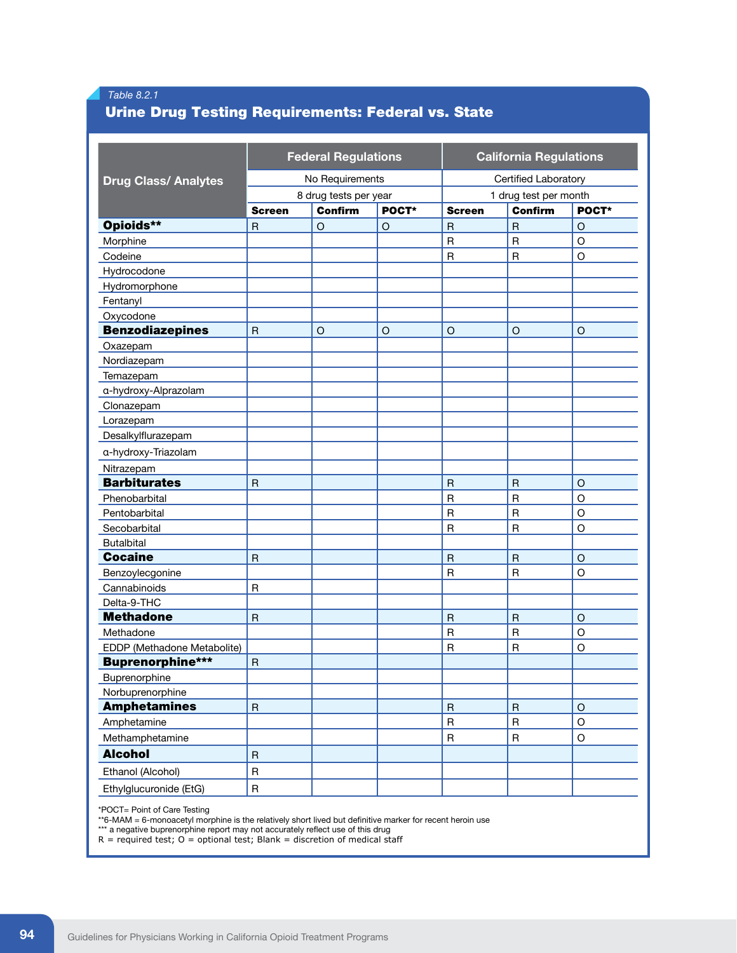### *Table 8.2.1*

### Urine Drug Testing Requirements: Federal vs. State

| No Requirements<br>Certified Laboratory<br><b>Drug Class/ Analytes</b><br>8 drug tests per year<br>1 drug test per month<br>POCT*<br><b>Confirm</b><br><b>Confirm</b><br>POCT*<br><b>Screen</b><br><b>Screen</b><br>Opioids**<br>$\mathsf{R}$<br>$\circ$<br>$\circ$<br>$\mathsf{R}$<br>$\overline{R}$<br>$\circ$<br>$\overline{R}$<br>$\mathsf R$<br>O<br>Morphine<br>$\mathsf{R}$<br>$\circ$<br>$\mathsf{R}$<br>Codeine<br>Hydrocodone<br>Hydromorphone<br>Fentanyl<br>Oxycodone<br><b>Benzodiazepines</b><br>$\mathsf{R}$<br>$\circ$<br>$\circ$<br>O<br>O<br>O<br>Oxazepam<br>Nordiazepam<br>Temazepam<br>a-hydroxy-Alprazolam<br>Clonazepam<br>Lorazepam<br>Desalkylflurazepam<br>a-hydroxy-Triazolam<br>Nitrazepam<br><b>Barbiturates</b><br>$\mathsf{R}$<br>$\mathsf R$<br>$\mathsf R$<br>$\circ$<br>$\overline{R}$<br>$\overline{\mathsf{R}}$<br>Phenobarbital<br>$\circ$<br>$\mathsf{R}$<br>$\overline{\mathsf{R}}$<br>O<br>Pentobarbital<br>Secobarbital<br>$\mathsf R$<br>$\mathsf{R}$<br>O<br><b>Butalbital</b><br><b>Cocaine</b><br>$\mathsf R$<br>$\mathsf R$<br>$\circ$<br>$\mathsf{R}$<br>$\mathsf R$<br>$\overline{R}$<br>O<br>Benzoylecgonine<br>$\mathsf R$<br>Cannabinoids<br>Delta-9-THC<br><b>Methadone</b><br>$\mathsf{R}$<br>$\mathsf{R}$<br>$\circ$<br>$\mathsf{R}$<br>$\mathsf{R}$<br>$\mathsf R$<br>O<br>Methadone<br>EDDP (Methadone Metabolite)<br>$\mathsf{R}$<br>$\overline{R}$<br>O<br><b>Buprenorphine***</b><br>$\overline{\mathsf{R}}$<br><b>Buprenorphine</b> | <b>Federal Regulations</b> |  |  |  |
|-------------------------------------------------------------------------------------------------------------------------------------------------------------------------------------------------------------------------------------------------------------------------------------------------------------------------------------------------------------------------------------------------------------------------------------------------------------------------------------------------------------------------------------------------------------------------------------------------------------------------------------------------------------------------------------------------------------------------------------------------------------------------------------------------------------------------------------------------------------------------------------------------------------------------------------------------------------------------------------------------------------------------------------------------------------------------------------------------------------------------------------------------------------------------------------------------------------------------------------------------------------------------------------------------------------------------------------------------------------------------------------------------------------------------------------------------------------------------------------------------|----------------------------|--|--|--|
|                                                                                                                                                                                                                                                                                                                                                                                                                                                                                                                                                                                                                                                                                                                                                                                                                                                                                                                                                                                                                                                                                                                                                                                                                                                                                                                                                                                                                                                                                                 |                            |  |  |  |
|                                                                                                                                                                                                                                                                                                                                                                                                                                                                                                                                                                                                                                                                                                                                                                                                                                                                                                                                                                                                                                                                                                                                                                                                                                                                                                                                                                                                                                                                                                 |                            |  |  |  |
|                                                                                                                                                                                                                                                                                                                                                                                                                                                                                                                                                                                                                                                                                                                                                                                                                                                                                                                                                                                                                                                                                                                                                                                                                                                                                                                                                                                                                                                                                                 |                            |  |  |  |
|                                                                                                                                                                                                                                                                                                                                                                                                                                                                                                                                                                                                                                                                                                                                                                                                                                                                                                                                                                                                                                                                                                                                                                                                                                                                                                                                                                                                                                                                                                 |                            |  |  |  |
|                                                                                                                                                                                                                                                                                                                                                                                                                                                                                                                                                                                                                                                                                                                                                                                                                                                                                                                                                                                                                                                                                                                                                                                                                                                                                                                                                                                                                                                                                                 |                            |  |  |  |
|                                                                                                                                                                                                                                                                                                                                                                                                                                                                                                                                                                                                                                                                                                                                                                                                                                                                                                                                                                                                                                                                                                                                                                                                                                                                                                                                                                                                                                                                                                 |                            |  |  |  |
|                                                                                                                                                                                                                                                                                                                                                                                                                                                                                                                                                                                                                                                                                                                                                                                                                                                                                                                                                                                                                                                                                                                                                                                                                                                                                                                                                                                                                                                                                                 |                            |  |  |  |
|                                                                                                                                                                                                                                                                                                                                                                                                                                                                                                                                                                                                                                                                                                                                                                                                                                                                                                                                                                                                                                                                                                                                                                                                                                                                                                                                                                                                                                                                                                 |                            |  |  |  |
|                                                                                                                                                                                                                                                                                                                                                                                                                                                                                                                                                                                                                                                                                                                                                                                                                                                                                                                                                                                                                                                                                                                                                                                                                                                                                                                                                                                                                                                                                                 |                            |  |  |  |
|                                                                                                                                                                                                                                                                                                                                                                                                                                                                                                                                                                                                                                                                                                                                                                                                                                                                                                                                                                                                                                                                                                                                                                                                                                                                                                                                                                                                                                                                                                 |                            |  |  |  |
|                                                                                                                                                                                                                                                                                                                                                                                                                                                                                                                                                                                                                                                                                                                                                                                                                                                                                                                                                                                                                                                                                                                                                                                                                                                                                                                                                                                                                                                                                                 |                            |  |  |  |
|                                                                                                                                                                                                                                                                                                                                                                                                                                                                                                                                                                                                                                                                                                                                                                                                                                                                                                                                                                                                                                                                                                                                                                                                                                                                                                                                                                                                                                                                                                 |                            |  |  |  |
|                                                                                                                                                                                                                                                                                                                                                                                                                                                                                                                                                                                                                                                                                                                                                                                                                                                                                                                                                                                                                                                                                                                                                                                                                                                                                                                                                                                                                                                                                                 |                            |  |  |  |
|                                                                                                                                                                                                                                                                                                                                                                                                                                                                                                                                                                                                                                                                                                                                                                                                                                                                                                                                                                                                                                                                                                                                                                                                                                                                                                                                                                                                                                                                                                 |                            |  |  |  |
|                                                                                                                                                                                                                                                                                                                                                                                                                                                                                                                                                                                                                                                                                                                                                                                                                                                                                                                                                                                                                                                                                                                                                                                                                                                                                                                                                                                                                                                                                                 |                            |  |  |  |
|                                                                                                                                                                                                                                                                                                                                                                                                                                                                                                                                                                                                                                                                                                                                                                                                                                                                                                                                                                                                                                                                                                                                                                                                                                                                                                                                                                                                                                                                                                 |                            |  |  |  |
|                                                                                                                                                                                                                                                                                                                                                                                                                                                                                                                                                                                                                                                                                                                                                                                                                                                                                                                                                                                                                                                                                                                                                                                                                                                                                                                                                                                                                                                                                                 |                            |  |  |  |
|                                                                                                                                                                                                                                                                                                                                                                                                                                                                                                                                                                                                                                                                                                                                                                                                                                                                                                                                                                                                                                                                                                                                                                                                                                                                                                                                                                                                                                                                                                 |                            |  |  |  |
|                                                                                                                                                                                                                                                                                                                                                                                                                                                                                                                                                                                                                                                                                                                                                                                                                                                                                                                                                                                                                                                                                                                                                                                                                                                                                                                                                                                                                                                                                                 |                            |  |  |  |
|                                                                                                                                                                                                                                                                                                                                                                                                                                                                                                                                                                                                                                                                                                                                                                                                                                                                                                                                                                                                                                                                                                                                                                                                                                                                                                                                                                                                                                                                                                 |                            |  |  |  |
|                                                                                                                                                                                                                                                                                                                                                                                                                                                                                                                                                                                                                                                                                                                                                                                                                                                                                                                                                                                                                                                                                                                                                                                                                                                                                                                                                                                                                                                                                                 |                            |  |  |  |
|                                                                                                                                                                                                                                                                                                                                                                                                                                                                                                                                                                                                                                                                                                                                                                                                                                                                                                                                                                                                                                                                                                                                                                                                                                                                                                                                                                                                                                                                                                 |                            |  |  |  |
|                                                                                                                                                                                                                                                                                                                                                                                                                                                                                                                                                                                                                                                                                                                                                                                                                                                                                                                                                                                                                                                                                                                                                                                                                                                                                                                                                                                                                                                                                                 |                            |  |  |  |
|                                                                                                                                                                                                                                                                                                                                                                                                                                                                                                                                                                                                                                                                                                                                                                                                                                                                                                                                                                                                                                                                                                                                                                                                                                                                                                                                                                                                                                                                                                 |                            |  |  |  |
|                                                                                                                                                                                                                                                                                                                                                                                                                                                                                                                                                                                                                                                                                                                                                                                                                                                                                                                                                                                                                                                                                                                                                                                                                                                                                                                                                                                                                                                                                                 |                            |  |  |  |
|                                                                                                                                                                                                                                                                                                                                                                                                                                                                                                                                                                                                                                                                                                                                                                                                                                                                                                                                                                                                                                                                                                                                                                                                                                                                                                                                                                                                                                                                                                 |                            |  |  |  |
|                                                                                                                                                                                                                                                                                                                                                                                                                                                                                                                                                                                                                                                                                                                                                                                                                                                                                                                                                                                                                                                                                                                                                                                                                                                                                                                                                                                                                                                                                                 |                            |  |  |  |
|                                                                                                                                                                                                                                                                                                                                                                                                                                                                                                                                                                                                                                                                                                                                                                                                                                                                                                                                                                                                                                                                                                                                                                                                                                                                                                                                                                                                                                                                                                 |                            |  |  |  |
|                                                                                                                                                                                                                                                                                                                                                                                                                                                                                                                                                                                                                                                                                                                                                                                                                                                                                                                                                                                                                                                                                                                                                                                                                                                                                                                                                                                                                                                                                                 |                            |  |  |  |
|                                                                                                                                                                                                                                                                                                                                                                                                                                                                                                                                                                                                                                                                                                                                                                                                                                                                                                                                                                                                                                                                                                                                                                                                                                                                                                                                                                                                                                                                                                 |                            |  |  |  |
|                                                                                                                                                                                                                                                                                                                                                                                                                                                                                                                                                                                                                                                                                                                                                                                                                                                                                                                                                                                                                                                                                                                                                                                                                                                                                                                                                                                                                                                                                                 |                            |  |  |  |
|                                                                                                                                                                                                                                                                                                                                                                                                                                                                                                                                                                                                                                                                                                                                                                                                                                                                                                                                                                                                                                                                                                                                                                                                                                                                                                                                                                                                                                                                                                 |                            |  |  |  |
|                                                                                                                                                                                                                                                                                                                                                                                                                                                                                                                                                                                                                                                                                                                                                                                                                                                                                                                                                                                                                                                                                                                                                                                                                                                                                                                                                                                                                                                                                                 |                            |  |  |  |
|                                                                                                                                                                                                                                                                                                                                                                                                                                                                                                                                                                                                                                                                                                                                                                                                                                                                                                                                                                                                                                                                                                                                                                                                                                                                                                                                                                                                                                                                                                 |                            |  |  |  |
| Norbuprenorphine                                                                                                                                                                                                                                                                                                                                                                                                                                                                                                                                                                                                                                                                                                                                                                                                                                                                                                                                                                                                                                                                                                                                                                                                                                                                                                                                                                                                                                                                                |                            |  |  |  |
| <b>Amphetamines</b><br>$\mathsf{R}$<br>$\mathsf{R}$<br>${\sf R}$<br>$\circ$                                                                                                                                                                                                                                                                                                                                                                                                                                                                                                                                                                                                                                                                                                                                                                                                                                                                                                                                                                                                                                                                                                                                                                                                                                                                                                                                                                                                                     |                            |  |  |  |
| ${\sf R}$<br>${\sf R}$<br>$\mathsf O$<br>Amphetamine                                                                                                                                                                                                                                                                                                                                                                                                                                                                                                                                                                                                                                                                                                                                                                                                                                                                                                                                                                                                                                                                                                                                                                                                                                                                                                                                                                                                                                            |                            |  |  |  |
| Methamphetamine<br>${\sf R}$<br>$\mathsf R$<br>O                                                                                                                                                                                                                                                                                                                                                                                                                                                                                                                                                                                                                                                                                                                                                                                                                                                                                                                                                                                                                                                                                                                                                                                                                                                                                                                                                                                                                                                |                            |  |  |  |
| <b>Alcohol</b><br>${\sf R}$                                                                                                                                                                                                                                                                                                                                                                                                                                                                                                                                                                                                                                                                                                                                                                                                                                                                                                                                                                                                                                                                                                                                                                                                                                                                                                                                                                                                                                                                     |                            |  |  |  |
| $\sf R$<br>Ethanol (Alcohol)                                                                                                                                                                                                                                                                                                                                                                                                                                                                                                                                                                                                                                                                                                                                                                                                                                                                                                                                                                                                                                                                                                                                                                                                                                                                                                                                                                                                                                                                    |                            |  |  |  |
| $\mathsf{R}$<br>Ethylglucuronide (EtG)                                                                                                                                                                                                                                                                                                                                                                                                                                                                                                                                                                                                                                                                                                                                                                                                                                                                                                                                                                                                                                                                                                                                                                                                                                                                                                                                                                                                                                                          |                            |  |  |  |

\*POCT= Point of Care Testing

\*\*6-MAM = 6-monoacetyl morphine is the relatively short lived but definitive marker for recent heroin use

\*\*\* a negative buprenorphine report may not accurately reflect use of this drug R = required test; O = optional test; Blank = discretion of medical staff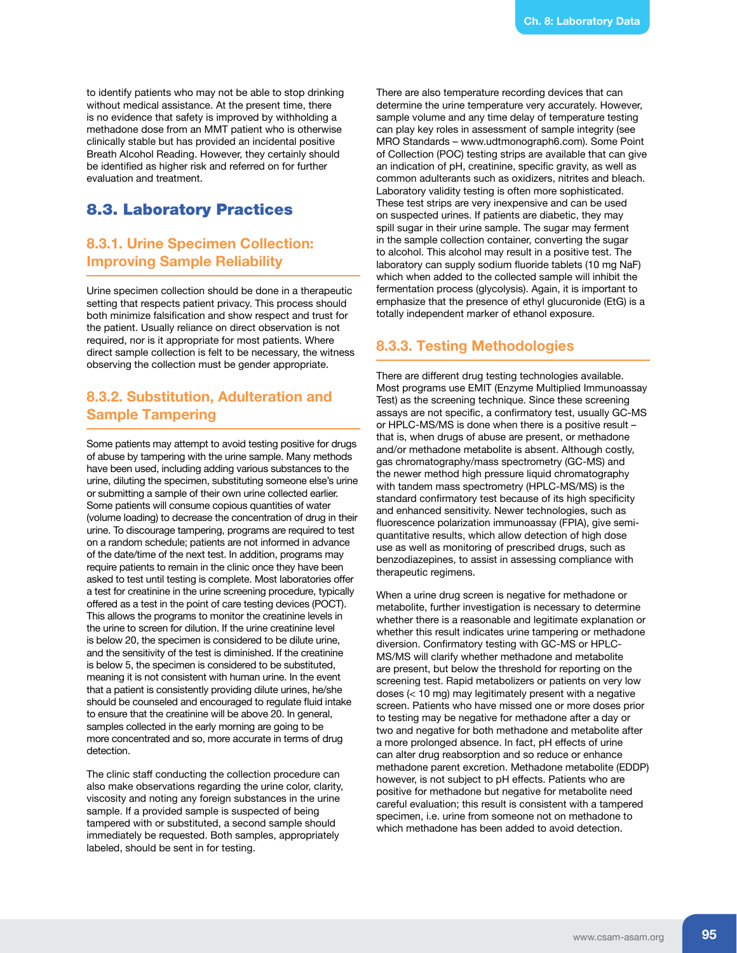to identify patients who may not be able to stop drinking without medical assistance. At the present time, there is no evidence that safety is improved by withholding a methadone dose from an MMT patient who is otherwise clinically stable but has provided an incidental positive Breath Alcohol Reading. However, they certainly should be identified as higher risk and referred on for further evaluation and treatment.

### 8.3. Laboratory Practices

### **8.3.1. Urine Specimen Collection: Improving Sample Reliability**

Urine specimen collection should be done in a therapeutic setting that respects patient privacy. This process should both minimize falsification and show respect and trust for the patient. Usually reliance on direct observation is not required, nor is it appropriate for most patients. Where direct sample collection is felt to be necessary, the witness observing the collection must be gender appropriate.

### **8.3.2. Substitution, Adulteration and Sample Tampering**

Some patients may attempt to avoid testing positive for drugs of abuse by tampering with the urine sample. Many methods have been used, including adding various substances to the urine, diluting the specimen, substituting someone else's urine or submitting a sample of their own urine collected earlier. Some patients will consume copious quantities of water (volume loading) to decrease the concentration of drug in their urine. To discourage tampering, programs are required to test on a random schedule; patients are not informed in advance of the date/time of the next test. In addition, programs may require patients to remain in the clinic once they have been asked to test until testing is complete. Most laboratories offer a test for creatinine in the urine screening procedure, typically offered as a test in the point of care testing devices (POCT). This allows the programs to monitor the creatinine levels in the urine to screen for dilution. If the urine creatinine level is below 20, the specimen is considered to be dilute urine, and the sensitivity of the test is diminished. If the creatinine is below 5, the specimen is considered to be substituted, meaning it is not consistent with human urine. In the event that a patient is consistently providing dilute urines, he/she should be counseled and encouraged to regulate fluid intake to ensure that the creatinine will be above 20. In general, samples collected in the early morning are going to be more concentrated and so, more accurate in terms of drug detection.

The clinic staff conducting the collection procedure can also make observations regarding the urine color, clarity, viscosity and noting any foreign substances in the urine sample. If a provided sample is suspected of being tampered with or substituted, a second sample should immediately be requested. Both samples, appropriately labeled, should be sent in for testing.

There are also temperature recording devices that can determine the urine temperature very accurately. However, sample volume and any time delay of temperature testing can play key roles in assessment of sample integrity (see MRO Standards – www.udtmonograph6.com). Some Point of Collection (POC) testing strips are available that can give an indication of pH, creatinine, specific gravity, as well as common adulterants such as oxidizers, nitrites and bleach. Laboratory validity testing is often more sophisticated. These test strips are very inexpensive and can be used on suspected urines. If patients are diabetic, they may spill sugar in their urine sample. The sugar may ferment in the sample collection container, converting the sugar to alcohol. This alcohol may result in a positive test. The laboratory can supply sodium fluoride tablets (10 mg NaF) which when added to the collected sample will inhibit the fermentation process (glycolysis). Again, it is important to emphasize that the presence of ethyl glucuronide (EtG) is a totally independent marker of ethanol exposure.

### **8.3.3. Testing Methodologies**

There are different drug testing technologies available. Most programs use EMIT (Enzyme Multiplied Immunoassay Test) as the screening technique. Since these screening assays are not specific, a confirmatory test, usually GC-MS or HPLC-MS/MS is done when there is a positive result – that is, when drugs of abuse are present, or methadone and/or methadone metabolite is absent. Although costly, gas chromatography/mass spectrometry (GC-MS) and the newer method high pressure liquid chromatography with tandem mass spectrometry (HPLC-MS/MS) is the standard confirmatory test because of its high specificity and enhanced sensitivity. Newer technologies, such as fluorescence polarization immunoassay (FPIA), give semiquantitative results, which allow detection of high dose use as well as monitoring of prescribed drugs, such as benzodiazepines, to assist in assessing compliance with therapeutic regimens.

When a urine drug screen is negative for methadone or metabolite, further investigation is necessary to determine whether there is a reasonable and legitimate explanation or whether this result indicates urine tampering or methadone diversion. Confirmatory testing with GC-MS or HPLC-MS/MS will clarify whether methadone and metabolite are present, but below the threshold for reporting on the screening test. Rapid metabolizers or patients on very low doses (< 10 mg) may legitimately present with a negative screen. Patients who have missed one or more doses prior to testing may be negative for methadone after a day or two and negative for both methadone and metabolite after a more prolonged absence. In fact, pH effects of urine can alter drug reabsorption and so reduce or enhance methadone parent excretion. Methadone metabolite (EDDP) however, is not subject to pH effects. Patients who are positive for methadone but negative for metabolite need careful evaluation; this result is consistent with a tampered specimen, i.e. urine from someone not on methadone to which methadone has been added to avoid detection.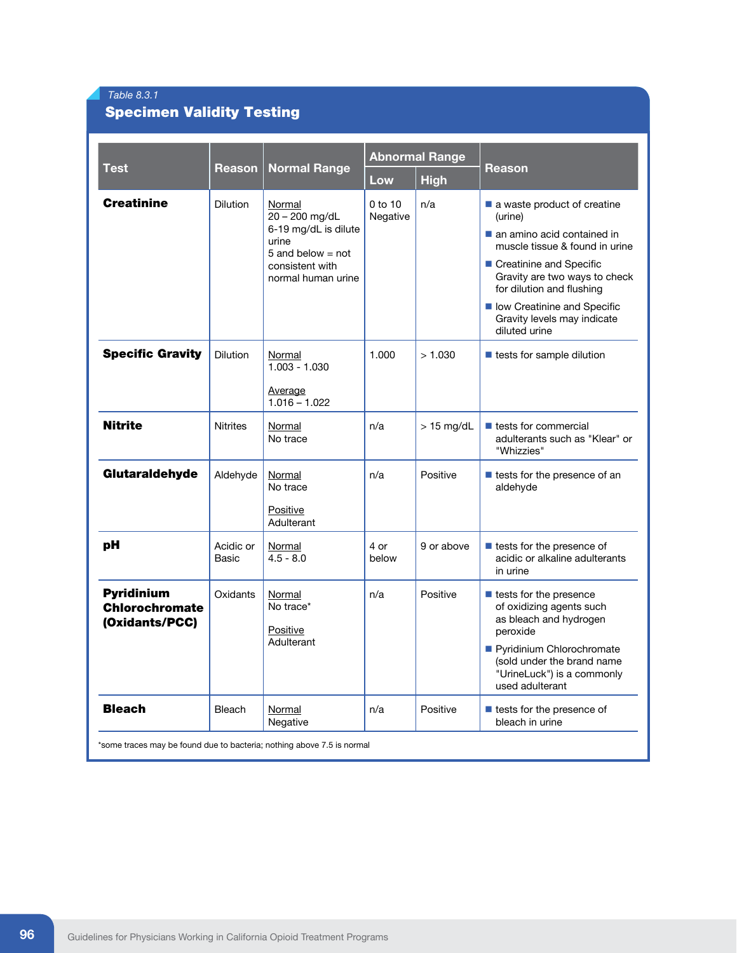### *Table 8.3.1*

## Specimen Validity Testing

| <b>Test</b>                                                  |                    | <b>Normal Range</b>                                                                                                       | <b>Abnormal Range</b> |              |                                                                                                                                                                                                                                                                                  |  |
|--------------------------------------------------------------|--------------------|---------------------------------------------------------------------------------------------------------------------------|-----------------------|--------------|----------------------------------------------------------------------------------------------------------------------------------------------------------------------------------------------------------------------------------------------------------------------------------|--|
|                                                              | Reason             |                                                                                                                           | Low                   | <b>High</b>  | Reason                                                                                                                                                                                                                                                                           |  |
| <b>Creatinine</b>                                            | <b>Dilution</b>    | Normal<br>20 - 200 mg/dL<br>6-19 mg/dL is dilute<br>urine<br>5 and below $=$ not<br>consistent with<br>normal human urine | $0$ to 10<br>Negative | n/a          | a waste product of creatine<br>(urine)<br>an amino acid contained in<br>muscle tissue & found in urine<br>■ Creatinine and Specific<br>Gravity are two ways to check<br>for dilution and flushing<br>low Creatinine and Specific<br>Gravity levels may indicate<br>diluted urine |  |
| <b>Specific Gravity</b>                                      | <b>Dilution</b>    | Normal<br>$1.003 - 1.030$<br>Average<br>$1.016 - 1.022$                                                                   | 1.000                 | > 1.030      | $\blacksquare$ tests for sample dilution                                                                                                                                                                                                                                         |  |
| <b>Nitrite</b>                                               | <b>Nitrites</b>    | Normal<br>No trace                                                                                                        | n/a                   | $> 15$ mg/dL | $\blacksquare$ tests for commercial<br>adulterants such as "Klear" or<br>"Whizzies"                                                                                                                                                                                              |  |
| Glutaraldehyde                                               | Aldehyde           | Normal<br>No trace<br>Positive<br>Adulterant                                                                              | n/a                   | Positive     | tests for the presence of an<br>aldehyde                                                                                                                                                                                                                                         |  |
| рH                                                           | Acidic or<br>Basic | Normal<br>$4.5 - 8.0$                                                                                                     | 4 or<br>below         | 9 or above   | ■ tests for the presence of<br>acidic or alkaline adulterants<br>in urine                                                                                                                                                                                                        |  |
| <b>Pyridinium</b><br><b>Chlorochromate</b><br>(Oxidants/PCC) | Oxidants           | Normal<br>No trace*<br>Positive<br>Adulterant                                                                             | n/a                   | Positive     | ■ tests for the presence<br>of oxidizing agents such<br>as bleach and hydrogen<br>peroxide<br>Pyridinium Chlorochromate<br>(sold under the brand name<br>"UrineLuck") is a commonly<br>used adulterant                                                                           |  |
| <b>Bleach</b>                                                | Bleach             | Normal<br>Negative                                                                                                        | n/a                   | Positive     | $\blacksquare$ tests for the presence of<br>bleach in urine                                                                                                                                                                                                                      |  |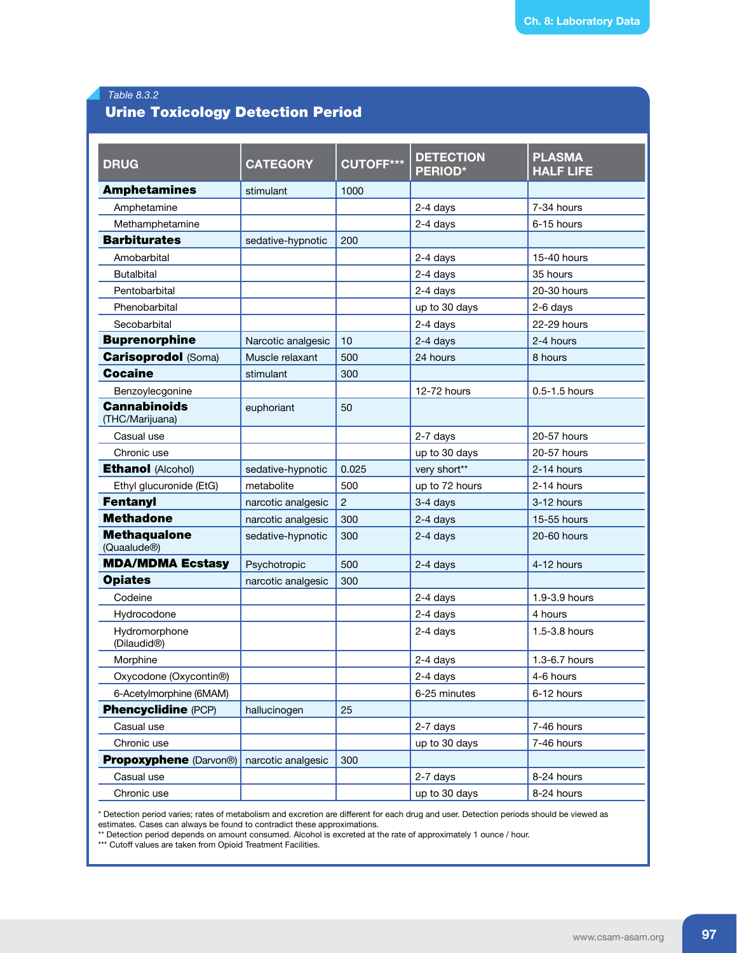### *Table 8.3.2*

### Urine Toxicology Detection Period

| <b>DRUG</b>                                     | <b>CATEGORY</b>    | <b>CUTOFF***</b> | <b>DETECTION</b><br><b>PERIOD*</b> | <b>PLASMA</b><br><b>HALF LIFE</b> |
|-------------------------------------------------|--------------------|------------------|------------------------------------|-----------------------------------|
| <b>Amphetamines</b>                             | stimulant          | 1000             |                                    |                                   |
| Amphetamine                                     |                    |                  | 2-4 days                           | 7-34 hours                        |
| Methamphetamine                                 |                    |                  | 2-4 days                           | 6-15 hours                        |
| <b>Barbiturates</b>                             | sedative-hypnotic  | 200              |                                    |                                   |
| Amobarbital                                     |                    |                  | 2-4 days                           | 15-40 hours                       |
| <b>Butalbital</b>                               |                    |                  | 2-4 days                           | 35 hours                          |
| Pentobarbital                                   |                    |                  | 2-4 days                           | 20-30 hours                       |
| Phenobarbital                                   |                    |                  | up to 30 days                      | 2-6 days                          |
| Secobarbital                                    |                    |                  | 2-4 days                           | 22-29 hours                       |
| <b>Buprenorphine</b>                            | Narcotic analgesic | 10               | 2-4 days                           | 2-4 hours                         |
| <b>Carisoprodol (Soma)</b>                      | Muscle relaxant    | 500              | 24 hours                           | 8 hours                           |
| <b>Cocaine</b>                                  | stimulant          | 300              |                                    |                                   |
| Benzoylecgonine                                 |                    |                  | 12-72 hours                        | $0.5 - 1.5$ hours                 |
| <b>Cannabinoids</b><br>(THC/Marijuana)          | euphoriant         | 50               |                                    |                                   |
| Casual use                                      |                    |                  | 2-7 days                           | 20-57 hours                       |
| Chronic use                                     |                    |                  | up to 30 days                      | 20-57 hours                       |
| <b>Ethanol (Alcohol)</b>                        | sedative-hypnotic  | 0.025            | very short**                       | 2-14 hours                        |
| Ethyl glucuronide (EtG)                         | metabolite         | 500              | up to 72 hours                     | 2-14 hours                        |
| <b>Fentanyl</b>                                 | narcotic analgesic | $\overline{2}$   | 3-4 days                           | 3-12 hours                        |
| <b>Methadone</b>                                | narcotic analgesic | 300              | 2-4 days                           | 15-55 hours                       |
| <b>Methaqualone</b><br>(Quaalude <sup>®</sup> ) | sedative-hypnotic  | 300              | 2-4 days                           | 20-60 hours                       |
| <b>MDA/MDMA Ecstasy</b>                         | Psychotropic       | 500              | 2-4 days                           | 4-12 hours                        |
| <b>Opiates</b>                                  | narcotic analgesic | 300              |                                    |                                   |
| Codeine                                         |                    |                  | 2-4 days                           | 1.9-3.9 hours                     |
| Hydrocodone                                     |                    |                  | 2-4 days                           | 4 hours                           |
| Hydromorphone<br>(Dilaudid <sup>®</sup> )       |                    |                  | 2-4 days                           | 1.5-3.8 hours                     |
| Morphine                                        |                    |                  | 2-4 days                           | 1.3-6.7 hours                     |
| Oxycodone (Oxycontin®)                          |                    |                  | 2-4 days                           | 4-6 hours                         |
| 6-Acetylmorphine (6MAM)                         |                    |                  | 6-25 minutes                       | 6-12 hours                        |
| <b>Phencyclidine (PCP)</b>                      | hallucinogen       | 25               |                                    |                                   |
| Casual use                                      |                    |                  | 2-7 days                           | 7-46 hours                        |
| Chronic use                                     |                    |                  | up to 30 days                      | 7-46 hours                        |
| <b>Propoxyphene</b> (Darvon®)                   | narcotic analgesic | 300              |                                    |                                   |
| Casual use                                      |                    |                  | 2-7 days                           | 8-24 hours                        |
| Chronic use                                     |                    |                  | up to 30 days                      | 8-24 hours                        |

\* Detection period varies; rates of metabolism and excretion are different for each drug and user. Detection periods should be viewed as estimates. Cases can always be found to contradict these approximations.

\*\* Detection period depends on amount consumed. Alcohol is excreted at the rate of approximately 1 ounce / hour.

\*\*\* Cutoff values are taken from Opioid Treatment Facilities.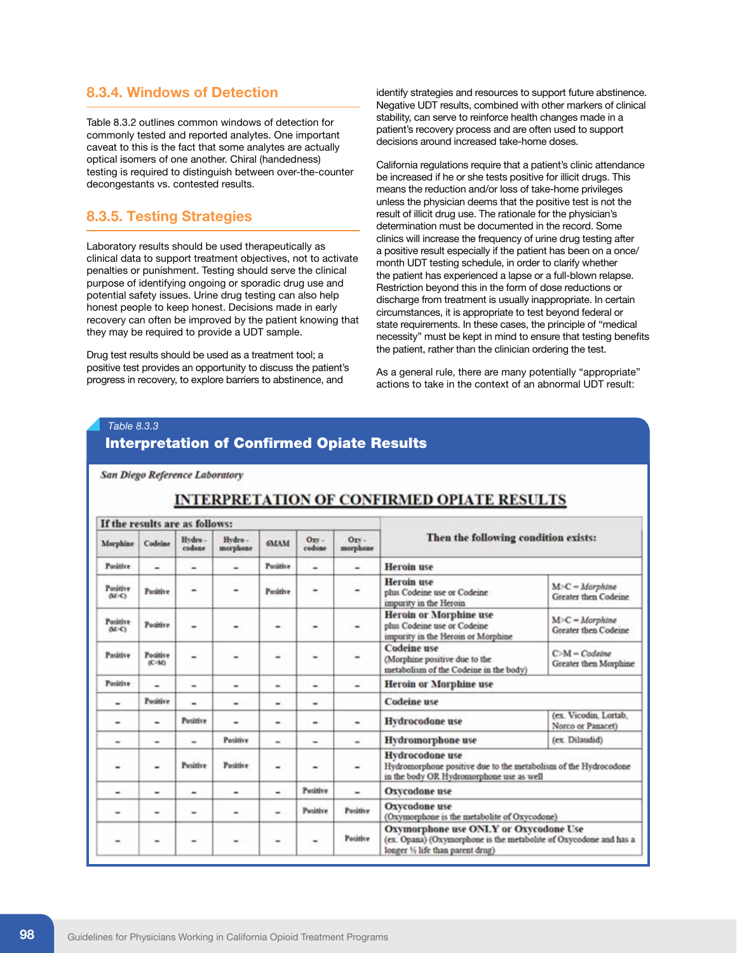### **8.3.4. Windows of Detection**

Table 8.3.2 outlines common windows of detection for commonly tested and reported analytes. One important caveat to this is the fact that some analytes are actually optical isomers of one another. Chiral (handedness) testing is required to distinguish between over-the-counter decongestants vs. contested results.

### **8.3.5. Testing Strategies**

Laboratory results should be used therapeutically as clinical data to support treatment objectives, not to activate penalties or punishment. Testing should serve the clinical purpose of identifying ongoing or sporadic drug use and potential safety issues. Urine drug testing can also help honest people to keep honest. Decisions made in early recovery can often be improved by the patient knowing that they may be required to provide a UDT sample.

Drug test results should be used as a treatment tool; a positive test provides an opportunity to discuss the patient's progress in recovery, to explore barriers to abstinence, and

identify strategies and resources to support future abstinence. Negative UDT results, combined with other markers of clinical stability, can serve to reinforce health changes made in a patient's recovery process and are often used to support decisions around increased take-home doses.

California regulations require that a patient's clinic attendance be increased if he or she tests positive for illicit drugs. This means the reduction and/or loss of take-home privileges unless the physician deems that the positive test is not the result of illicit drug use. The rationale for the physician's determination must be documented in the record. Some clinics will increase the frequency of urine drug testing after a positive result especially if the patient has been on a once/ month UDT testing schedule, in order to clarify whether the patient has experienced a lapse or a full-blown relapse. Restriction beyond this in the form of dose reductions or discharge from treatment is usually inappropriate. In certain circumstances, it is appropriate to test beyond federal or state requirements. In these cases, the principle of "medical necessity" must be kept in mind to ensure that testing benefits the patient, rather than the clinician ordering the test.

As a general rule, there are many potentially "appropriate" actions to take in the context of an abnormal UDT result:

### *Table 8.3.3*

### Interpretation of Confirmed Opiate Results

San Diego Reference Laboratory

### If the results are as follows: Then the following condition exists: Hydro-Hydro-Orv-Oxy-Morphine Codrine **GMAM** codane morphone codone morphone Positive Positive **Heroin** use ÷ u ۷ u u Heroin use Positive<br>(M-C)  $M-C = Morphine$ Positive Positive ٠ plus Codeine use or Codeine Greater then Codeine impurity in the Heroin **Heroin or Morphine use**  $M>C = Morphine$ Positive Positive plus Codeine use or Codeine  $(16)$ Greater then Codeine impurity in the Heroin or Morphine **Codeine** use  $C-M-Codeine$ Positive Positive ä, ⋍ υ Ξ ٠ (Morphine positive due to the  $00-50$ Greater then Morphine metabolism of the Codeine in the body) Positive **Heroin or Morphine use** u ÷ u. s u Positive Codeine use ä,  $\ddot{}$  $\ddot{}$  $\blacksquare$ (ex. Vicodin, Lortab, Positive **Hydrocodone** use  $\overline{a}$  $\overline{a}$  $\overline{a}$ Norco or Panacet) Positive **Hydromorphone** use (ex. Dilaudid) ۷ ÷ ۷ ۷ ÷ Ξ **Hydrocodone** use Positive Positive Hydromorphone positive due to the metabolism of the Hydrocodone in the body OR Hydromorphone use as well Positive **Oxycodone** use  $\overline{a}$  $\overline{a}$  $\ddot{}$  $\blacksquare$ Oxycodone use Positive Positive ÷. ä, ÷ ä, (Oxymorphone is the metabolite of Oxycodone) Oxymorphone use ONLY or Oxycodone Use Positive (ex. Opana) (Oxymorphone is the metabolite of Oxycodone and has a  $\blacksquare$ longer 1/2 life than parent drug)

### **INTERPRETATION OF CONFIRMED OPIATE RESULTS**